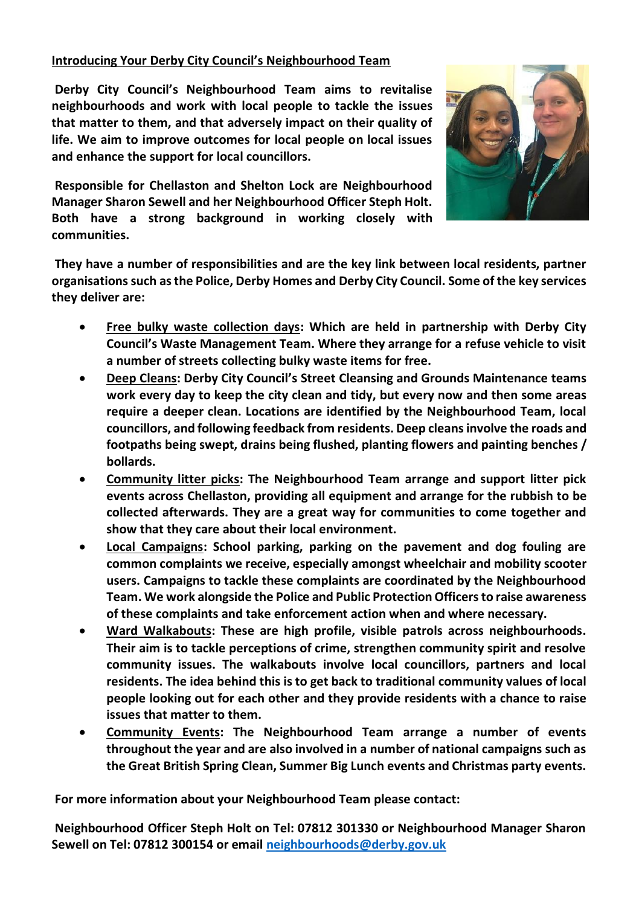## **Introducing Your Derby City Council's Neighbourhood Team**

**Derby City Council's Neighbourhood Team aims to revitalise neighbourhoods and work with local people to tackle the issues that matter to them, and that adversely impact on their quality of life. We aim to improve outcomes for local people on local issues and enhance the support for local councillors.**

**Responsible for Chellaston and Shelton Lock are Neighbourhood Manager Sharon Sewell and her Neighbourhood Officer Steph Holt. Both have a strong background in working closely with communities.** 



**They have a number of responsibilities and are the key link between local residents, partner organisations such as the Police, Derby Homes and Derby City Council. Some of the key services they deliver are:** 

- **Free bulky waste collection days: Which are held in partnership with Derby City Council's Waste Management Team. Where they arrange for a refuse vehicle to visit a number of streets collecting bulky waste items for free.**
- **Deep Cleans: Derby City Council's Street Cleansing and Grounds Maintenance teams work every day to keep the city clean and tidy, but every now and then some areas require a deeper clean. Locations are identified by the Neighbourhood Team, local councillors, and following feedback from residents. Deep cleans involve the roads and footpaths being swept, drains being flushed, planting flowers and painting benches / bollards.**
- **Community litter picks: The Neighbourhood Team arrange and support litter pick events across Chellaston, providing all equipment and arrange for the rubbish to be collected afterwards. They are a great way for communities to come together and show that they care about their local environment.**
- **Local Campaigns: School parking, parking on the pavement and dog fouling are common complaints we receive, especially amongst wheelchair and mobility scooter users. Campaigns to tackle these complaints are coordinated by the Neighbourhood Team. We work alongside the Police and Public Protection Officers to raise awareness of these complaints and take enforcement action when and where necessary.**
- **Ward Walkabouts: These are high profile, visible patrols across neighbourhoods. Their aim is to tackle perceptions of crime, strengthen community spirit and resolve community issues. The walkabouts involve local councillors, partners and local residents. The idea behind this is to get back to traditional community values of local people looking out for each other and they provide residents with a chance to raise issues that matter to them.**
- **Community Events: The Neighbourhood Team arrange a number of events throughout the year and are also involved in a number of national campaigns such as the Great British Spring Clean, Summer Big Lunch events and Christmas party events.**

**For more information about your Neighbourhood Team please contact:**

**Neighbourhood Officer Steph Holt on Tel: 07812 301330 or Neighbourhood Manager Sharon Sewell on Tel: 07812 300154 or email [neighbourhoods@derby.gov.uk](mailto:neighbourhoods@derby.gov.uk)**